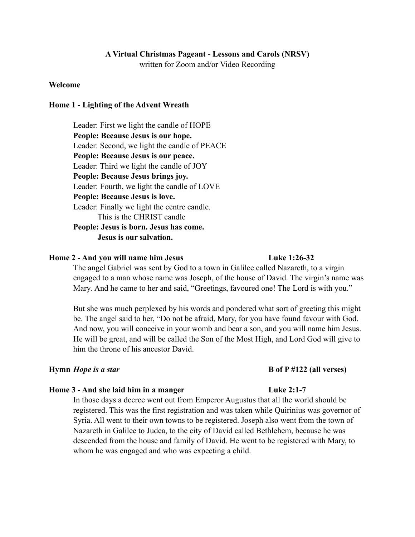# **A Virtual Christmas Pageant - Lessons and Carols (NRSV)**

written for Zoom and/or Video Recording

# **Welcome**

# **Home 1 - Lighting of the Advent Wreath**

 Leader: First we light the candle of HOPE **People: Because Jesus is our hope.** Leader: Second, we light the candle of PEACE **People: Because Jesus is our peace.** Leader: Third we light the candle of JOY **People: Because Jesus brings joy.**  Leader: Fourth, we light the candle of LOVE **People: Because Jesus is love.**  Leader: Finally we light the centre candle. This is the CHRIST candle **People: Jesus is born. Jesus has come.** 

 **Jesus is our salvation.** 

# **Home 2 - And you will name him Jesus Luke 1:26-32**

 The angel Gabriel was sent by God to a town in Galilee called Nazareth, to a virgin engaged to a man whose name was Joseph, of the house of David. The virgin's name was Mary. And he came to her and said, "Greetings, favoured one! The Lord is with you."

But she was much perplexed by his words and pondered what sort of greeting this might be. The angel said to her, "Do not be afraid, Mary, for you have found favour with God. And now, you will conceive in your womb and bear a son, and you will name him Jesus. He will be great, and will be called the Son of the Most High, and Lord God will give to him the throne of his ancestor David.

# **Hymn** *Hope is a star* **B of P #122 (all verses)**

### **Home 3 - And she laid him in a manger Luke 2:1-7**

 In those days a decree went out from Emperor Augustus that all the world should be registered. This was the first registration and was taken while Quirinius was governor of Syria. All went to their own towns to be registered. Joseph also went from the town of Nazareth in Galilee to Judea, to the city of David called Bethlehem, because he was descended from the house and family of David. He went to be registered with Mary, to whom he was engaged and who was expecting a child.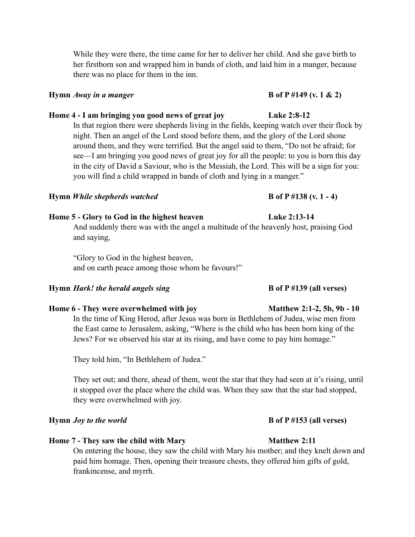While they were there, the time came for her to deliver her child. And she gave birth to her firstborn son and wrapped him in bands of cloth, and laid him in a manger, because there was no place for them in the inn.

## **Hymn** *Away in a manger* **B** of P #149 (v. 1 & 2)

### **Home 4 - I am bringing you good news of great joy Luke 2:8-12**

 In that region there were shepherds living in the fields, keeping watch over their flock by night. Then an angel of the Lord stood before them, and the glory of the Lord shone around them, and they were terrified. But the angel said to them, "Do not be afraid; for see—I am bringing you good news of great joy for all the people: to you is born this day in the city of David a Saviour, who is the Messiah, the Lord. This will be a sign for you: you will find a child wrapped in bands of cloth and lying in a manger."

### **Hymn** *While shepherds watched* **B B** of P #138 (v. 1 - 4)

## **Home 5 - Glory to God in the highest heaven Luke 2:13-14**

 And suddenly there was with the angel a multitude of the heavenly host, praising God and saying,

 "Glory to God in the highest heaven, and on earth peace among those whom he favours!"

### **Hymn** *Hark!* **the herald angels sing B of P #139 (all verses)**

### Home 6 - They were overwhelmed with joy Matthew 2:1-2, 5b, 9b - 10

 In the time of King Herod, after Jesus was born in Bethlehem of Judea, wise men from the East came to Jerusalem, asking, "Where is the child who has been born king of the Jews? For we observed his star at its rising, and have come to pay him homage."

They told him, "In Bethlehem of Judea."

 They set out; and there, ahead of them, went the star that they had seen at it's rising, until it stopped over the place where the child was. When they saw that the star had stopped, they were overwhelmed with joy.

### **Hymn** *Joy to the world* **B** of P #153 (all verses)

### **Home 7 - They saw the child with Mary Matthew 2:11 Matthew 2:11**

 On entering the house, they saw the child with Mary his mother; and they knelt down and paid him homage. Then, opening their treasure chests, they offered him gifts of gold, frankincense, and myrrh.